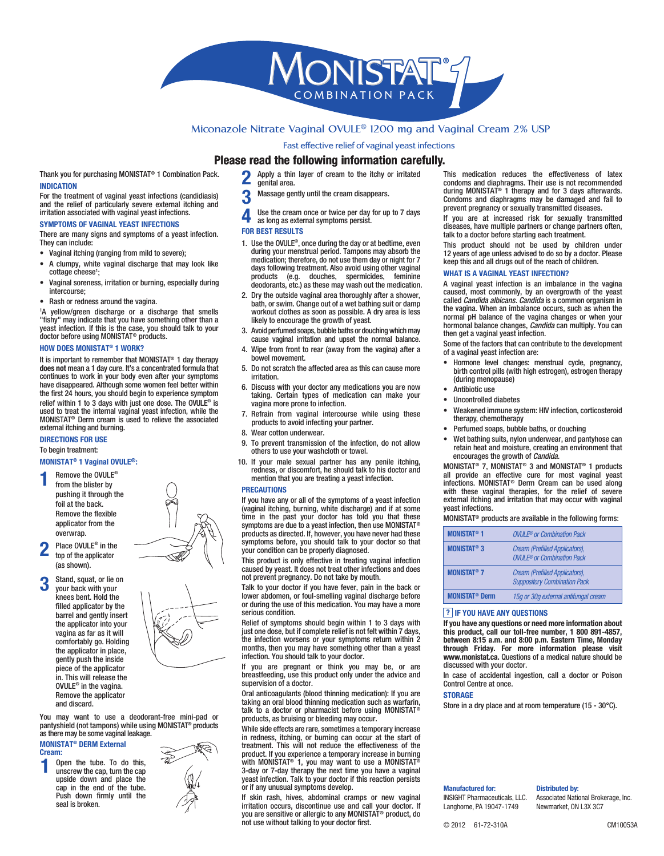

# **Miconazole Nitrate Vaginal OVULE® 1200 mg and Vaginal Cream 2% USP**

Fast effective relief of vaginal yeast infections

## **Please read the following information carefully.**

Thank you for purchasing MONISTAT® 1 Combination Pack. **INDICATION**

For the treatment of vaginal yeast infections (candidiasis) and the relief of particularly severe external itching and irritation associated with vaginal yeast infections.

### **SYMPTOMS OF VAGINAL YEAST INFECTIONS**

There are many signs and symptoms of a yeast infection. They can include:

- Vaginal itching (ranging from mild to severe);
- A clumpy, white vaginal discharge that may look like cottage cheese<sup>1</sup>;
- Vaginal soreness, irritation or burning, especially during intercourse;
- Rash or redness around the vagina.

1 A yellow/green discharge or a discharge that smells "fishy" may indicate that you have something other than a yeast infection. If this is the case, you should talk to your doctor before using MONISTAT® products.

### **HOW DOES MONISTAT® 1 WORK?**

It is important to remember that MONISTAT® 1 day therapy **does not** mean a 1 day cure. It's a concentrated formula that continues to work in your body even after your symptoms have disappeared. Although some women feel better within the first 24 hours, you should begin to experience symptom relief within 1 to 3 days with just one dose. The OVULE® is used to treat the internal vaginal yeast infection, while the MONISTAT® Derm cream is used to relieve the associated external itching and burning.

## **DIRECTIONS FOR USE**

To begin treatment:

## **MONISTAT® 1 Vaginal OVULE®:**

- **1** Remove the OVULE® from the blister by pushing it through the foil at the back. Remove the flexible applicator from the overwrap.
- **2** Place OVULE® in the top of the applicator (as shown).
- **3** Stand, squat, or lie on your back with your knees bent. Hold the filled applicator by the barrel and gently insert the applicator into your vagina as far as it will comfortably go. Holding the applicator in place, gently push the inside piece of the applicator in. This will release the OVULE® in the vagina. Remove the applicator and discard.



You may want to use a deodorant-free mini-pad or pantyshield (not tampons) while using MONISTAT® products as there may be some vaginal leakage.

#### **MONISTAT® DERM External Cream:**

**1** Open the tube. To do this, unscrew the cap, turn the cap upside down and place the cap in the end of the tube. Push down firmly until the seal is broken.



- **2** Apply a thin layer of cream to the itchy or irritated
	- genital area.
	- **3** Massage gently until the cream disappears.
- 
- **4** Use the cream once or twice per day for up to 7 days as long as external symptoms persist.

#### **FOR BEST RESULTS**

- 1. Use the OVULE®, once during the day or at bedtime, even during your menstrual period. Tampons may absorb the medication; therefore, do not use them day or night for 7 days following treatment. Also avoid using other vaginal products (e.g. douches, spermicides, feminine deodorants, etc.) as these may wash out the medication.
- 2. Dry the outside vaginal area thoroughly after a shower, bath, or swim. Change out of a wet bathing suit or damp workout clothes as soon as possible. A dry area is less likely to encourage the growth of yeast.
- 3. Avoid perfumed soaps, bubble baths or douching which may cause vaginal irritation and upset the normal balance.
- Wipe from front to rear (away from the vagina) after a bowel movement.
- 5. Do not scratch the affected area as this can cause more irritation.
- 6. Discuss with your doctor any medications you are now taking. Certain types of medication can make your vagina more prone to infection.
- 7. Refrain from vaginal intercourse while using these products to avoid infecting your partner.
- 8. Wear cotton underwear.
- 9. To prevent transmission of the infection, do not allow others to use your washcloth or towel.
- 10. If your male sexual partner has any penile itching, redness, or discomfort, he should talk to his doctor and mention that you are treating a yeast infection.

#### **PRECAUTIONS**

If you have any or all of the symptoms of a yeast infection (vaginal itching, burning, white discharge) and if at some time in the past your doctor has told you that these symptoms are due to a yeast infection, then use MONISTAT<sup>®</sup> products as directed. If, however, you have never had these symptoms before, you should talk to your doctor so that your condition can be properly diagnosed.

This product is only effective in treating vaginal infection caused by yeast. It does not treat other infections and does not prevent pregnancy. Do not take by mouth.

Talk to your doctor if you have fever, pain in the back or lower abdomen, or foul-smelling vaginal discharge before or during the use of this medication. You may have a more serious condition.

Relief of symptoms should begin within 1 to 3 days with just one dose, but if complete relief is not felt within 7 days, the infection worsens or your symptoms return within 2 months, then you may have something other than a yeast infection. You should talk to your doctor.

If you are pregnant or think you may be, or are breastfeeding, use this product only under the advice and supervision of a doctor.

Oral anticoagulants (blood thinning medication): If you are taking an oral blood thinning medication such as warfarin, talk to a doctor or pharmacist before using MONISTAT<sup>®</sup> products, as bruising or bleeding may occur.

While side effects are rare, sometimes a temporary increase in redness, itching, or burning can occur at the start of treatment. This will not reduce the effectiveness of the product. If you experience a temporary increase in burning with MONISTAT® 1, you may want to use a MONISTAT® 3-day or 7-day therapy the next time you have a vaginal yeast infection. Talk to your doctor if this reaction persists or if any unusual symptoms develop.

If skin rash, hives, abdominal cramps or new vaginal irritation occurs, discontinue use and call your doctor. If you are sensitive or allergic to any MONISTAT® product, do not use without talking to your doctor first.

This medication reduces the effectiveness of latex condoms and diaphragms. Their use is not recommended during MONISTAT® 1 therapy and for 3 days afterwards. Condoms and diaphragms may be damaged and fail to prevent pregnancy or sexually transmitted diseases.

If you are at increased risk for sexually transmitted diseases, have multiple partners or change partners often, talk to a doctor before starting each treatment.

This product should not be used by children under 12 years of age unless advised to do so by a doctor. Please keep this and all drugs out of the reach of children.

## **WHAT IS A VAGINAL YEAST INFECTION?**

A vaginal yeast infection is an imbalance in the vagina caused, most commonly, by an overgrowth of the yeast called *Candida albicans. Candida* is a common organism in the vagina. When an imbalance occurs, such as when the normal pH balance of the vagina changes or when your hormonal balance changes, *Candida* can multiply. You can then get a vaginal yeast infection.

Some of the factors that can contribute to the development of a vaginal yeast infection are:

- Hormone level changes: menstrual cycle, pregnancy, birth control pills (with high estrogen), estrogen therapy (during menopause)
- Antibiotic use
- Uncontrolled diabetes
- Weakened immune system: HIV infection, corticosteroid therapy, chemotherapy
- Perfumed soaps, bubble baths, or douching
- Wet bathing suits, nylon underwear, and pantyhose can retain heat and moisture, creating an environment that encourages the growth of *Candida.*

MONISTAT® 7, MONISTAT® 3 and MONISTAT® 1 products all provide an effective cure for most vaginal yeast infections. MONISTAT® Derm Cream can be used along with these vaginal therapies, for the relief of severe external itching and irritation that may occur with vaginal yeast infections.

MONISTAT® products are available in the following forms:

| <b>MONISTAT<sup>®</sup> 1</b>    | $OMI$ $F^*$ or Combination Pack                                                |
|----------------------------------|--------------------------------------------------------------------------------|
| <b>MONISTAT<sup>®</sup> 3</b>    | Cream (Prefilled Applicators),<br><b>OVULE<sup>®</sup></b> or Combination Pack |
| <b>MONISTAT<sup>®</sup> 7</b>    | Cream (Prefilled Applicators),<br><b>Suppository Combination Pack</b>          |
| <b>MONISTAT<sup>®</sup> Derm</b> | 15q or 30q external antifungal cream                                           |

## **? IF YOU HAVE ANY QUESTIONS**

**If you have any questions or need more information about this product, call our toll-free number, 1 800 891-4857, between 8:15 a.m. and 8:00 p.m. Eastern Time, Monday through Friday. For more information please visit www.monistat.ca.** Questions of a medical nature should be discussed with your doctor.

In case of accidental ingestion, call a doctor or Poison Control Centre at once.

### **STORAGE**

Store in a dry place and at room temperature (15 - 30°C).

**Manufactured for:** INSIGHT Pharmaceuticals, LLC. Langhorne, PA 19047-1749

## **Distributed by:**

Associated National Brokerage, Inc. Newmarket, ON L3X 3C7